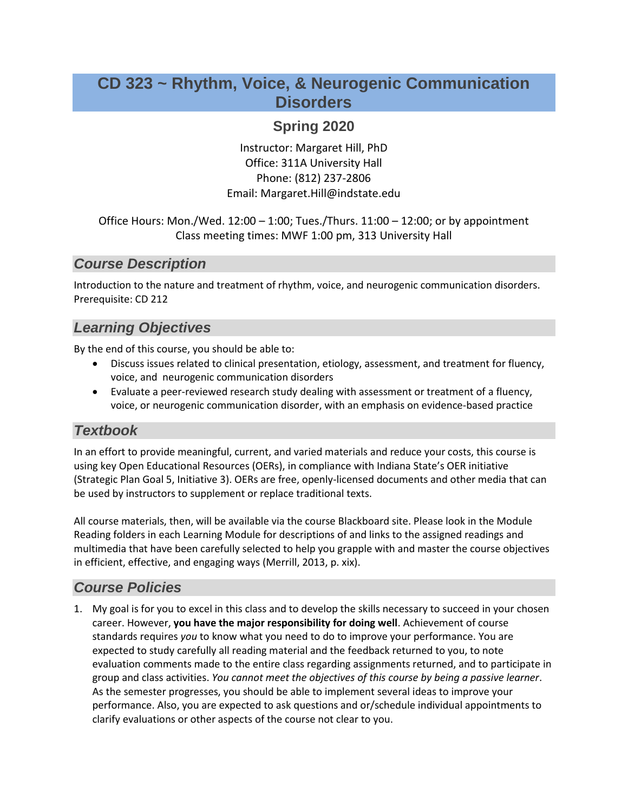# **CD 323 ~ Rhythm, Voice, & Neurogenic Communication Disorders**

# **Spring 2020**

Instructor: Margaret Hill, PhD Office: 311A University Hall Phone: (812) 237-2806 Email: Margaret.Hill@indstate.edu

#### Office Hours: Mon./Wed. 12:00 – 1:00; Tues./Thurs. 11:00 – 12:00; or by appointment Class meeting times: MWF 1:00 pm, 313 University Hall

# *Course Description*

Introduction to the nature and treatment of rhythm, voice, and neurogenic communication disorders. Prerequisite: CD 212

# *Learning Objectives*

By the end of this course, you should be able to:

- Discuss issues related to clinical presentation, etiology, assessment, and treatment for fluency, voice, and neurogenic communication disorders
- Evaluate a peer-reviewed research study dealing with assessment or treatment of a fluency, voice, or neurogenic communication disorder, with an emphasis on evidence-based practice

# *Textbook*

In an effort to provide meaningful, current, and varied materials and reduce your costs, this course is using key Open Educational Resources (OERs), in compliance with Indiana State's OER initiative (Strategic Plan Goal 5, Initiative 3). OERs are free, openly-licensed documents and other media that can be used by instructors to supplement or replace traditional texts.

All course materials, then, will be available via the course Blackboard site. Please look in the Module Reading folders in each Learning Module for descriptions of and links to the assigned readings and multimedia that have been carefully selected to help you grapple with and master the course objectives in efficient, effective, and engaging ways (Merrill, 2013, p. xix).

# *Course Policies*

1. My goal is for you to excel in this class and to develop the skills necessary to succeed in your chosen career. However, **you have the major responsibility for doing well**. Achievement of course standards requires *you* to know what you need to do to improve your performance. You are expected to study carefully all reading material and the feedback returned to you, to note evaluation comments made to the entire class regarding assignments returned, and to participate in group and class activities. *You cannot meet the objectives of this course by being a passive learner*. As the semester progresses, you should be able to implement several ideas to improve your performance. Also, you are expected to ask questions and or/schedule individual appointments to clarify evaluations or other aspects of the course not clear to you.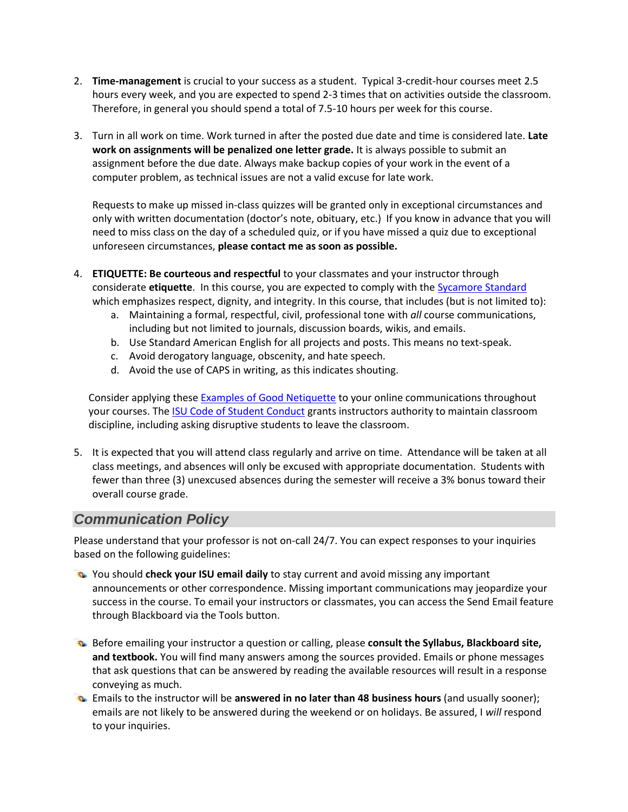- 2. **Time-management** is crucial to your success as a student. Typical 3-credit-hour courses meet 2.5 hours every week, and you are expected to spend 2-3 times that on activities outside the classroom. Therefore, in general you should spend a total of 7.5-10 hours per week for this course.
- 3. Turn in all work on time. Work turned in after the posted due date and time is considered late. **Late work on assignments will be penalized one letter grade.** It is always possible to submit an assignment before the due date. Always make backup copies of your work in the event of a computer problem, as technical issues are not a valid excuse for late work.

Requests to make up missed in-class quizzes will be granted only in exceptional circumstances and only with written documentation (doctor's note, obituary, etc.) If you know in advance that you will need to miss class on the day of a scheduled quiz, or if you have missed a quiz due to exceptional unforeseen circumstances, **please contact me as soon as possible.**

- 4. **ETIQUETTE: Be courteous and respectful** to your classmates and your instructor through considerate etiquette. In this course, you are expected to comply with the **Sycamore Standard** which emphasizes respect, dignity, and integrity. In this course, that includes (but is not limited to):
	- a. Maintaining a formal, respectful, civil, professional tone with *all* course communications, including but not limited to journals, discussion boards, wikis, and emails.
	- b. Use Standard American English for all projects and posts. This means no text-speak.
	- c. Avoid derogatory language, obscenity, and hate speech.
	- d. Avoid the use of CAPS in writing, as this indicates shouting.

Consider applying these **Examples of Good Netiquette to your online communications throughout** your courses. The [ISU Code of Student Conduct](https://www.indstate.edu/code-of-student-conduct) grants instructors authority to maintain classroom discipline, including asking disruptive students to leave the classroom.

5. It is expected that you will attend class regularly and arrive on time. Attendance will be taken at all class meetings, and absences will only be excused with appropriate documentation. Students with fewer than three (3) unexcused absences during the semester will receive a 3% bonus toward their overall course grade.

#### *Communication Policy*

Please understand that your professor is not on-call 24/7. You can expect responses to your inquiries based on the following guidelines:

- You should **check your ISU email daily** to stay current and avoid missing any important announcements or other correspondence. Missing important communications may jeopardize your success in the course. To email your instructors or classmates, you can access the Send Email feature through Blackboard via the Tools button.
- Before emailing your instructor a question or calling, please **consult the Syllabus, Blackboard site, and textbook.** You will find many answers among the sources provided. Emails or phone messages that ask questions that can be answered by reading the available resources will result in a response conveying as much.
- Emails to the instructor will be **answered in no later than 48 business hours** (and usually sooner); emails are not likely to be answered during the weekend or on holidays. Be assured, I *will* respond to your inquiries.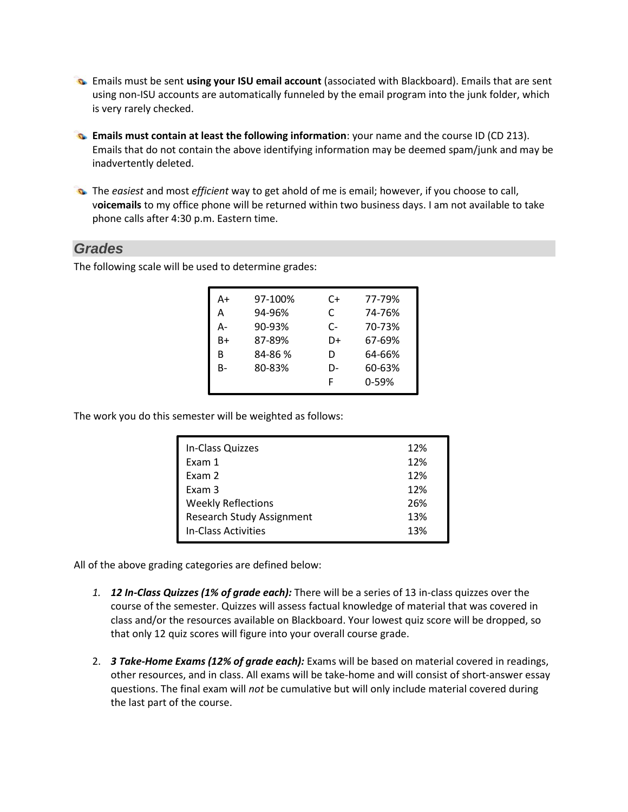- Emails must be sent **using your ISU email account** (associated with Blackboard). Emails that are sent using non-ISU accounts are automatically funneled by the email program into the junk folder, which is very rarely checked.
- **Emails must contain at least the following information**: your name and the course ID (CD 213). Emails that do not contain the above identifying information may be deemed spam/junk and may be inadvertently deleted.
- The *easiest* and most *efficient* way to get ahold of me is email; however, if you choose to call, v**oicemails** to my office phone will be returned within two business days. I am not available to take phone calls after 4:30 p.m. Eastern time.

#### *Grades*

The following scale will be used to determine grades:

| A+ | 97-100% | C+ | 77-79%    |
|----|---------|----|-----------|
| А  | 94-96%  | C  | 74-76%    |
| А- | 90-93%  | C- | 70-73%    |
| B+ | 87-89%  | D+ | 67-69%    |
| В  | 84-86 % | D  | 64-66%    |
| B- | 80-83%  | D- | 60-63%    |
|    |         | F  | $0 - 59%$ |

The work you do this semester will be weighted as follows:

| In-Class Quizzes                 | 12% |
|----------------------------------|-----|
| Exam 1                           | 12% |
| Exam 2                           | 12% |
| Exam 3                           | 12% |
| <b>Weekly Reflections</b>        | 26% |
| <b>Research Study Assignment</b> | 13% |
| In-Class Activities              | 13% |

All of the above grading categories are defined below:

- *1. 12 In-Class Quizzes (1% of grade each):* There will be a series of 13 in-class quizzes over the course of the semester. Quizzes will assess factual knowledge of material that was covered in class and/or the resources available on Blackboard. Your lowest quiz score will be dropped, so that only 12 quiz scores will figure into your overall course grade.
- 2. *3 Take-Home Exams (12% of grade each):* Exams will be based on material covered in readings, other resources, and in class. All exams will be take-home and will consist of short-answer essay questions. The final exam will *not* be cumulative but will only include material covered during the last part of the course.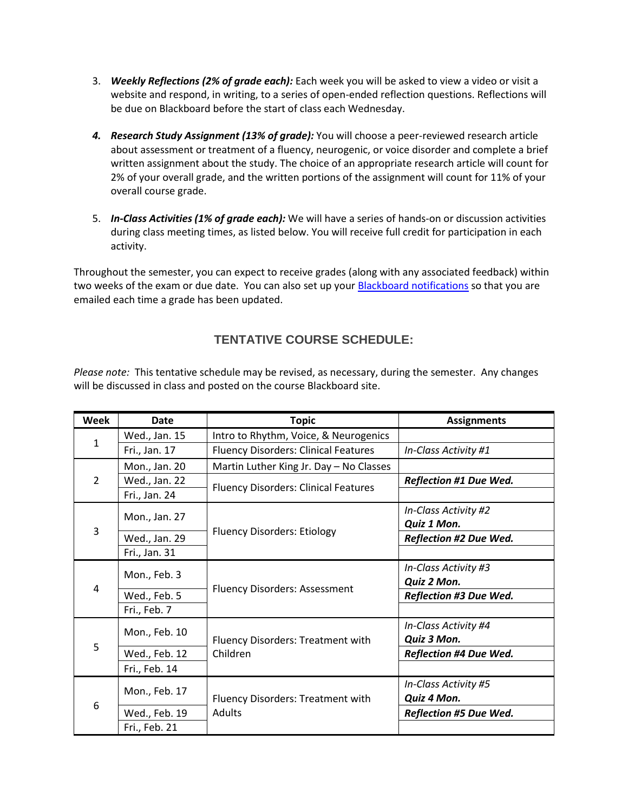- 3. *Weekly Reflections (2% of grade each):* Each week you will be asked to view a video or visit a website and respond, in writing, to a series of open-ended reflection questions. Reflections will be due on Blackboard before the start of class each Wednesday.
- *4. Research Study Assignment (13% of grade):* You will choose a peer-reviewed research article about assessment or treatment of a fluency, neurogenic, or voice disorder and complete a brief written assignment about the study. The choice of an appropriate research article will count for 2% of your overall grade, and the written portions of the assignment will count for 11% of your overall course grade.
- 5. *In-Class Activities (1% of grade each):* We will have a series of hands-on or discussion activities during class meeting times, as listed below. You will receive full credit for participation in each activity.

Throughout the semester, you can expect to receive grades (along with any associated feedback) within two weeks of the exam or due date. You can also set up your **Blackboard notifications** so that you are emailed each time a grade has been updated.

#### **TENTATIVE COURSE SCHEDULE:**

*Please note:* This tentative schedule may be revised, as necessary, during the semester. Any changes will be discussed in class and posted on the course Blackboard site.

| <b>Week</b>   | Date          | <b>Topic</b>                                | <b>Assignments</b>            |
|---------------|---------------|---------------------------------------------|-------------------------------|
| $\mathbf{1}$  | Wed., Jan. 15 | Intro to Rhythm, Voice, & Neurogenics       |                               |
|               | Fri., Jan. 17 | <b>Fluency Disorders: Clinical Features</b> | In-Class Activity #1          |
| $\mathcal{P}$ | Mon., Jan. 20 | Martin Luther King Jr. Day - No Classes     |                               |
|               | Wed., Jan. 22 | <b>Fluency Disorders: Clinical Features</b> | <b>Reflection #1 Due Wed.</b> |
|               | Fri., Jan. 24 |                                             |                               |
| 3             | Mon., Jan. 27 |                                             | In-Class Activity #2          |
|               |               |                                             | Quiz 1 Mon.                   |
|               | Wed., Jan. 29 | <b>Fluency Disorders: Etiology</b>          | <b>Reflection #2 Due Wed.</b> |
|               | Fri., Jan. 31 |                                             |                               |
| 4             | Mon., Feb. 3  |                                             | In-Class Activity #3          |
|               |               |                                             | Quiz 2 Mon.                   |
|               | Wed., Feb. 5  | <b>Fluency Disorders: Assessment</b>        | <b>Reflection #3 Due Wed.</b> |
|               | Fri., Feb. 7  |                                             |                               |
| 5             | Mon., Feb. 10 | Fluency Disorders: Treatment with           | In-Class Activity #4          |
|               |               |                                             | Quiz 3 Mon.                   |
|               | Wed., Feb. 12 | Children                                    | <b>Reflection #4 Due Wed.</b> |
|               | Fri., Feb. 14 |                                             |                               |
| 6             | Mon., Feb. 17 | Fluency Disorders: Treatment with           | In-Class Activity #5          |
|               |               |                                             | Quiz 4 Mon.                   |
|               | Wed., Feb. 19 | Adults                                      | <b>Reflection #5 Due Wed.</b> |
|               | Fri., Feb. 21 |                                             |                               |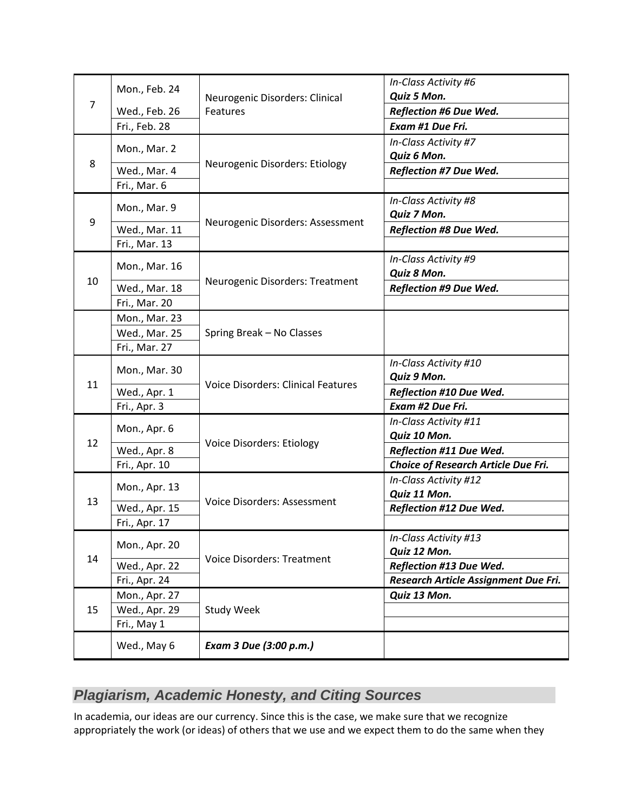| 7  | Mon., Feb. 24 |                                           | In-Class Activity #6                 |
|----|---------------|-------------------------------------------|--------------------------------------|
|    |               | Neurogenic Disorders: Clinical            | Quiz 5 Mon.                          |
|    | Wed., Feb. 26 | Features                                  | <b>Reflection #6 Due Wed.</b>        |
|    | Fri., Feb. 28 |                                           | Exam #1 Due Fri.                     |
|    | Mon., Mar. 2  |                                           | In-Class Activity #7                 |
| 8  |               | Neurogenic Disorders: Etiology            | Quiz 6 Mon.                          |
|    | Wed., Mar. 4  |                                           | <b>Reflection #7 Due Wed.</b>        |
|    | Fri., Mar. 6  | Neurogenic Disorders: Assessment          |                                      |
|    | Mon., Mar. 9  |                                           | In-Class Activity #8                 |
| 9  |               |                                           | Quiz 7 Mon.                          |
|    | Wed., Mar. 11 |                                           | <b>Reflection #8 Due Wed.</b>        |
|    | Fri., Mar. 13 |                                           |                                      |
|    | Mon., Mar. 16 |                                           | In-Class Activity #9                 |
| 10 |               | Neurogenic Disorders: Treatment           | Quiz 8 Mon.                          |
|    | Wed., Mar. 18 |                                           | <b>Reflection #9 Due Wed.</b>        |
|    | Fri., Mar. 20 |                                           |                                      |
|    | Mon., Mar. 23 |                                           |                                      |
|    | Wed., Mar. 25 | Spring Break - No Classes                 |                                      |
|    | Fri., Mar. 27 |                                           |                                      |
|    | Mon., Mar. 30 | <b>Voice Disorders: Clinical Features</b> | In-Class Activity #10                |
| 11 |               |                                           | Quiz 9 Mon.                          |
|    | Wed., Apr. 1  |                                           | Reflection #10 Due Wed.              |
|    | Fri., Apr. 3  |                                           | Exam #2 Due Fri.                     |
|    | Mon., Apr. 6  | <b>Voice Disorders: Etiology</b>          | In-Class Activity #11                |
| 12 |               |                                           | Quiz 10 Mon.                         |
|    | Wed., Apr. 8  |                                           | Reflection #11 Due Wed.              |
|    | Fri., Apr. 10 |                                           | Choice of Research Article Due Fri.  |
|    | Mon., Apr. 13 |                                           | In-Class Activity #12                |
| 13 |               | Voice Disorders: Assessment               | Quiz 11 Mon.                         |
|    | Wed., Apr. 15 |                                           | Reflection #12 Due Wed.              |
|    | Fri., Apr. 17 |                                           |                                      |
|    | Mon., Apr. 20 | <b>Voice Disorders: Treatment</b>         | In-Class Activity #13                |
| 14 |               |                                           | Quiz 12 Mon.                         |
|    | Wed., Apr. 22 |                                           | Reflection #13 Due Wed.              |
|    | Fri., Apr. 24 |                                           | Research Article Assignment Due Fri. |
| 15 | Mon., Apr. 27 |                                           | Quiz 13 Mon.                         |
|    | Wed., Apr. 29 | <b>Study Week</b>                         |                                      |
|    | Fri., May 1   |                                           |                                      |
|    | Wed., May 6   | Exam 3 Due (3:00 p.m.)                    |                                      |

# *Plagiarism, Academic Honesty, and Citing Sources*

In academia, our ideas are our currency. Since this is the case, we make sure that we recognize appropriately the work (or ideas) of others that we use and we expect them to do the same when they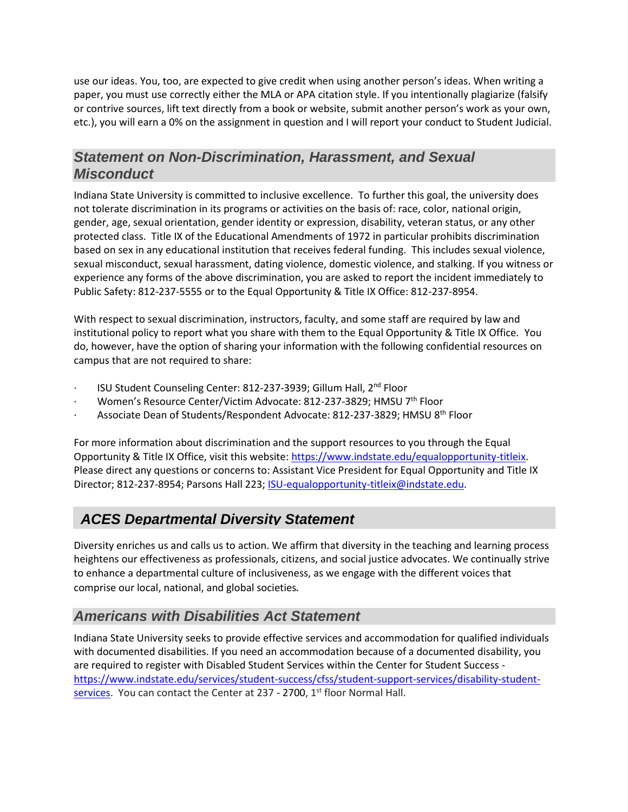use our ideas. You, too, are expected to give credit when using another person's ideas. When writing a paper, you must use correctly either the MLA or APA citation style. If you intentionally plagiarize (falsify or contrive sources, lift text directly from a book or website, submit another person's work as your own, etc.), you will earn a 0% on the assignment in question and I will report your conduct to Student Judicial.

### *Statement on Non-Discrimination, Harassment, and Sexual Misconduct*

Indiana State University is committed to inclusive excellence. To further this goal, the university does not tolerate discrimination in its programs or activities on the basis of: race, color, national origin, gender, age, sexual orientation, gender identity or expression, disability, veteran status, or any other protected class. Title IX of the Educational Amendments of 1972 in particular prohibits discrimination based on sex in any educational institution that receives federal funding. This includes sexual violence, sexual misconduct, sexual harassment, dating violence, domestic violence, and stalking. If you witness or experience any forms of the above discrimination, you are asked to report the incident immediately to Public Safety: 812-237-5555 or to the Equal Opportunity & Title IX Office: 812-237-8954.

With respect to sexual discrimination, instructors, faculty, and some staff are required by law and institutional policy to report what you share with them to the Equal Opportunity & Title IX Office. You do, however, have the option of sharing your information with the following confidential resources on campus that are not required to share:

- ISU Student Counseling Center: 812-237-3939; Gillum Hall, 2<sup>nd</sup> Floor
- Women's Resource Center/Victim Advocate: 812-237-3829; HMSU 7<sup>th</sup> Floor
- Associate Dean of Students/Respondent Advocate: 812-237-3829; HMSU 8<sup>th</sup> Floor

For more information about discrimination and the support resources to you through the Equal Opportunity & Title IX Office, visit this website: [https://www.indstate.edu/equalopportunity-titleix.](https://www.indstate.edu/equalopportunity-titleix) Please direct any questions or concerns to: Assistant Vice President for Equal Opportunity and Title IX Director; 812-237-8954; Parsons Hall 223; [ISU-equalopportunity-titleix@indstate.edu.](mailto:ISU-equalopportunity-titleix@indstate.edu)

# *ACES Departmental Diversity Statement*

Diversity enriches us and calls us to action. We affirm that diversity in the teaching and learning process heightens our effectiveness as professionals, citizens, and social justice advocates. We continually strive to enhance a departmental culture of inclusiveness, as we engage with the different voices that comprise our local, national, and global societies.

# *Americans with Disabilities Act Statement*

Indiana State University seeks to provide effective services and accommodation for qualified individuals with documented disabilities. If you need an accommodation because of a documented disability, you are required to register with Disabled Student Services within the Center for Student Success [https://www.indstate.edu/services/student-success/cfss/student-support-services/disability-student](https://www.indstate.edu/services/student-success/cfss/student-support-services/disability-student-services)[services.](https://www.indstate.edu/services/student-success/cfss/student-support-services/disability-student-services) You can contact the Center at  $237 - 2700$ ,  $1<sup>st</sup>$  floor Normal Hall.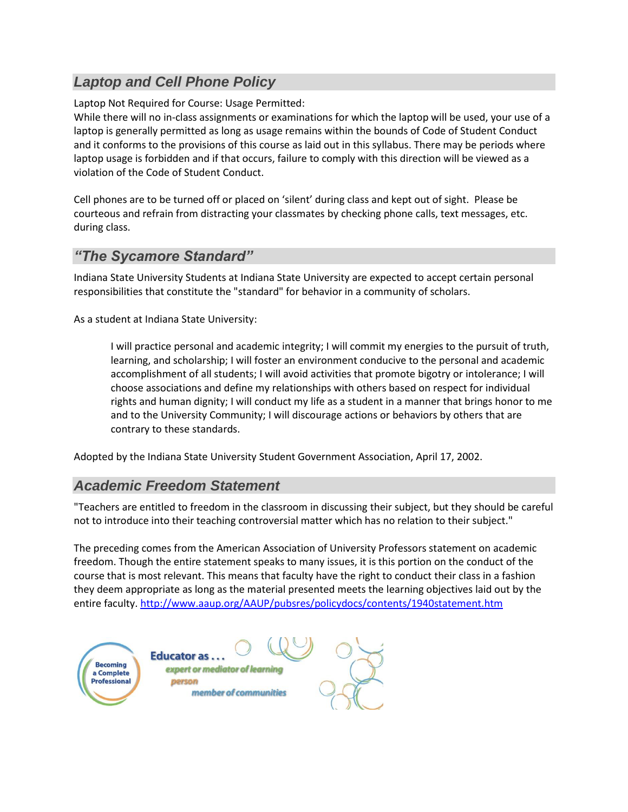# *Laptop and Cell Phone Policy*

Laptop Not Required for Course: Usage Permitted:

While there will no in-class assignments or examinations for which the laptop will be used, your use of a laptop is generally permitted as long as usage remains within the bounds of Code of Student Conduct and it conforms to the provisions of this course as laid out in this syllabus. There may be periods where laptop usage is forbidden and if that occurs, failure to comply with this direction will be viewed as a violation of the Code of Student Conduct.

Cell phones are to be turned off or placed on 'silent' during class and kept out of sight. Please be courteous and refrain from distracting your classmates by checking phone calls, text messages, etc. during class.

### *"The Sycamore Standard"*

Indiana State University Students at Indiana State University are expected to accept certain personal responsibilities that constitute the "standard" for behavior in a community of scholars.

As a student at Indiana State University:

I will practice personal and academic integrity; I will commit my energies to the pursuit of truth, learning, and scholarship; I will foster an environment conducive to the personal and academic accomplishment of all students; I will avoid activities that promote bigotry or intolerance; I will choose associations and define my relationships with others based on respect for individual rights and human dignity; I will conduct my life as a student in a manner that brings honor to me and to the University Community; I will discourage actions or behaviors by others that are contrary to these standards.

Adopted by the Indiana State University Student Government Association, April 17, 2002.

# *Academic Freedom Statement*

"Teachers are entitled to freedom in the classroom in discussing their subject, but they should be careful not to introduce into their teaching controversial matter which has no relation to their subject."

The preceding comes from the American Association of University Professors statement on academic freedom. Though the entire statement speaks to many issues, it is this portion on the conduct of the course that is most relevant. This means that faculty have the right to conduct their class in a fashion they deem appropriate as long as the material presented meets the learning objectives laid out by the entire faculty.<http://www.aaup.org/AAUP/pubsres/policydocs/contents/1940statement.htm>